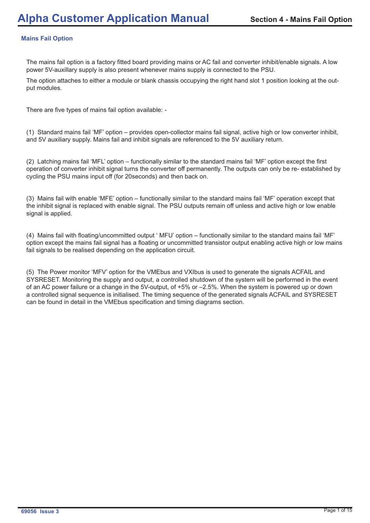## **Mains Fail Option**

The mains fail option is a factory fitted board providing mains or AC fail and converter inhibit/enable signals. A low power 5V-auxillary supply is also present whenever mains supply is connected to the PSU.

The option attaches to either a module or blank chassis occupying the right hand slot 1 position looking at the output modules.

There are five types of mains fail option available: -

(1) Standard mains fail 'MF' option – provides open-collector mains fail signal, active high or low converter inhibit, and 5V auxiliary supply. Mains fail and inhibit signals are referenced to the 5V auxiliary return.

(2) Latching mains fail 'MFL' option – functionally similar to the standard mains fail 'MF' option except the first operation of converter inhibit signal turns the converter off permanently. The outputs can only be re- established by cycling the PSU mains input off (for 20seconds) and then back on.

(3) Mains fail with enable 'MFE' option – functionally similar to the standard mains fail 'MF' operation except that the inhibit signal is replaced with enable signal. The PSU outputs remain off unless and active high or low enable signal is applied.

(4) Mains fail with floating/uncommitted output ' MFU' option – functionally similar to the standard mains fail 'MF' option except the mains fail signal has a floating or uncommitted transistor output enabling active high or low mains fail signals to be realised depending on the application circuit.

(5) The Power monitor 'MFV' option for the VMEbus and VXIbus is used to generate the signals ACFAIL and SYSRESET. Monitoring the supply and output, a controlled shutdown of the system will be performed in the event of an AC power failure or a change in the 5V-output, of +5% or –2.5%. When the system is powered up or down a controlled signal sequence is initialised. The timing sequence of the generated signals ACFAIL and SYSRESET can be found in detail in the VMEbus specification and timing diagrams section.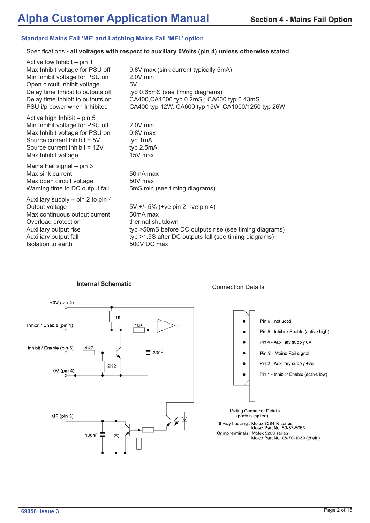### **Standard Mains Fail 'MF' and Latching Mains Fail 'MFL' option**

### Specifications - all voltages with respect to auxiliary 0Volts (pin 4) unless otherwise stated

| Active low Inhibit – pin 1<br>Max Inhibit voltage for PSU off<br>Min Inhibit voltage for PSU on<br>Open circuit Inhibit voltage<br>Delay time Inhibit to outputs off<br>Delay time Inhibit to outputs on<br>PSU i/p power when Inhibited | 0.8V max (sink current typically 5mA)<br>$2.0V$ min<br>5V<br>typ 0.65mS (see timing diagrams)<br>CA400, CA1000 typ 0.2mS; CA600 typ 0.43mS<br>CA400 typ 12W, CA600 typ 15W, CA1000/1250 typ 26W                 |
|------------------------------------------------------------------------------------------------------------------------------------------------------------------------------------------------------------------------------------------|-----------------------------------------------------------------------------------------------------------------------------------------------------------------------------------------------------------------|
| Active high Inhibit - pin 5<br>Min Inhibit voltage for PSU off<br>Max Inhibit voltage for PSU on<br>Source current Inhibit = 5V<br>Source current Inhibit = 12V<br>Max Inhibit voltage                                                   | $2.0V$ min<br>$0.8V$ max<br>typ 1mA<br>typ 2.5mA<br>15V max                                                                                                                                                     |
| Mains Fail signal – pin 3<br>Max sink current<br>Max open circuit voltage<br>Warning time to DC output fall                                                                                                                              | 50 <sub>m</sub> A max<br>50V max<br>5mS min (see timing diagrams)                                                                                                                                               |
| Auxiliary supply – pin 2 to pin 4<br>Output voltage<br>Max continuous output current<br>Overload protection<br>Auxiliary output rise<br>Auxiliary output fall<br>Isolation to earth                                                      | 5V +/- 5% (+ve pin 2, -ve pin 4)<br>50 <sub>m</sub> A max<br>thermal shutdown<br>typ >50mS before DC outputs rise (see timing diagrams)<br>typ >1.5S after DC outputs fall (see timing diagrams)<br>500V DC max |

# **Internal Schematic**<br> **Internal Schematic**<br> **Internal Schematic**<br> **Internal Schematic**



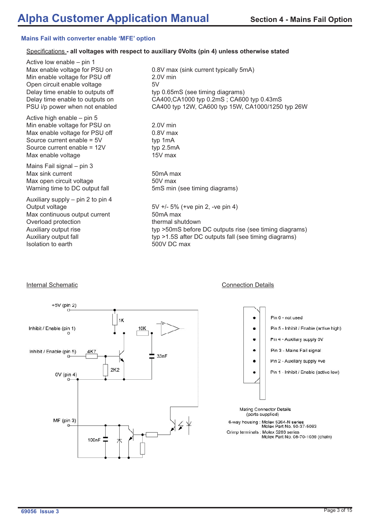### **Mains Fail with converter enable 'MFE' option**

### Specifications - all voltages with respect to auxiliary 0Volts (pin 4) unless otherwise stated

Active low enable – pin 1 Max enable voltage for PSU on 0.8V max (sink current typically 5mA) Min enable voltage for PSU off 2.0V min Open circuit enable voltage 6V Delay time enable to outputs off typ 0.65mS (see timing diagrams)

Active high enable – pin 5 Min enable voltage for PSU on 2.0V min Max enable voltage for PSU off 0.8V max Source current enable =  $5V$  typ 1mA Source current enable = 12V typ 2.5mA Max enable voltage 15V max

Mains Fail signal – pin 3 Max sink current 50mA max Max open circuit voltage 600 max

Auxiliary supply – pin 2 to pin 4 Max continuous output current 50mA max Overload protection thermal shutdown Isolation to earth 500V DC max

Delay time enable to outputs on CA400,CA1000 typ 0.2mS ; CA600 typ 0.43mS PSU i/p power when not enabled CA400 typ 12W, CA600 typ 15W, CA1000/1250 typ 26W

Warning time to DC output fall 5mS min (see timing diagrams)

Output voltage  $5V + 5\%$  (+ve pin 2, -ve pin 4) Auxiliary output rise typ >50mS before DC outputs rise (see timing diagrams) Auxiliary output fall typ >1.5S after DC outputs fall (see timing diagrams)

### +5V (pin 2) Pin 6 - not used  $1K$ Pin 5 - Inhibit / Fnable (active high) 10K Inhibit / Enable (pin 1)  $\bullet$ Pin 4 - Auxillary supply 0V Pin 3 - Mains Fail signal Inhibit / Enable (pin 5) 4K7 33nF Pin 2 - Auxillary supply +ve  $2K2$ Pin 1 - Inhibit / Enable (active low) 0V (pin 4)  $\sim$ **Mating Connector Details** (parts supplied) MF (pin 3)  $\frac{1}{2}$   $\leq$   $\frac{1}{2}$ 6-way housing : Molex 5264-N series<br>Molex Part No. 50-37-5063 Crimp terminals : Molex 5263 series Molex Part No. 08-70-1039 (chain) 100<sub>n</sub>F

### **Internal Schematic** Connection Details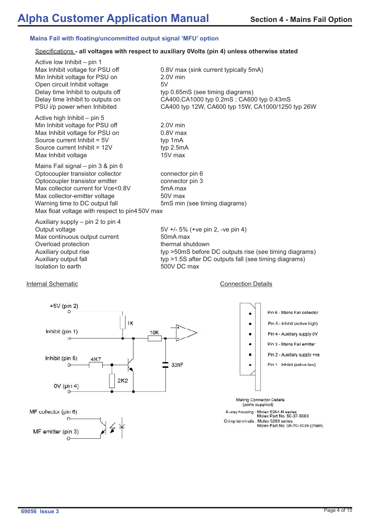### **Mains Fail with floating/uncommitted output signal 'MFU' option**

### Specifications - all voltages with respect to auxiliary 0Volts (pin 4) unless otherwise stated

| Active low Inhibit – pin 1                                                                            |                                                                                                                                    |
|-------------------------------------------------------------------------------------------------------|------------------------------------------------------------------------------------------------------------------------------------|
| Max Inhibit voltage for PSU off<br>Min Inhibit voltage for PSU on<br>Open circuit Inhibit voltage     | 0.8V max (sink current typically 5mA)<br>2.0V min<br>5V                                                                            |
| Delay time Inhibit to outputs off<br>Delay time Inhibit to outputs on<br>PSU i/p power when Inhibited | typ 0.65mS (see timing diagrams)<br>CA400, CA1000 typ 0.2mS; CA600 typ 0.43mS<br>CA400 typ 12W, CA600 typ 15W, CA1000/1250 typ 26W |
| Active high Inhibit – pin 5                                                                           |                                                                                                                                    |
| Min Inhibit voltage for PSU off                                                                       | 2.0V min                                                                                                                           |
| Max Inhibit voltage for PSU on                                                                        | $0.8V$ max                                                                                                                         |
| Source current Inhibit = 5V                                                                           | typ 1mA                                                                                                                            |
| Source current Inhibit = 12V                                                                          | typ $2.5mA$                                                                                                                        |
| Max Inhibit voltage                                                                                   | 15V max                                                                                                                            |
| Mains Fail signal - pin 3 & pin 6                                                                     |                                                                                                                                    |
| Optocoupler transistor collector                                                                      | connector pin 6                                                                                                                    |
| Optocoupler transistor emitter                                                                        | connector pin 3                                                                                                                    |
| Max collector current for Vce<0.8V                                                                    | 5 <sub>m</sub> A max                                                                                                               |
| Max collector-emitter voltage                                                                         | 50V max                                                                                                                            |
| Warning time to DC output fall                                                                        | 5mS min (see timing diagrams)                                                                                                      |
| Max float voltage with respect to pin450V max                                                         |                                                                                                                                    |
| Auxiliary supply – pin 2 to pin 4                                                                     |                                                                                                                                    |
| Output voltage                                                                                        | 5V +/- 5% (+ve pin 2, -ve pin 4)                                                                                                   |

Max continuous output current 50mA max Overload protection thermal shutdown Isolation to earth 500V DC max

Auxiliary output rise typ >50mS before DC outputs rise (see timing diagrams) Auxiliary output fall typ >1.5S after DC outputs fall (see timing diagrams)

### Internal Schematic **Connection Details**





6-way housing : Molex 5264-N series<br>Molex Part No. 50-37-5063 Crimp terminals : Molex 5263 series<br>Molex Part No. 08-70-1039 (chain)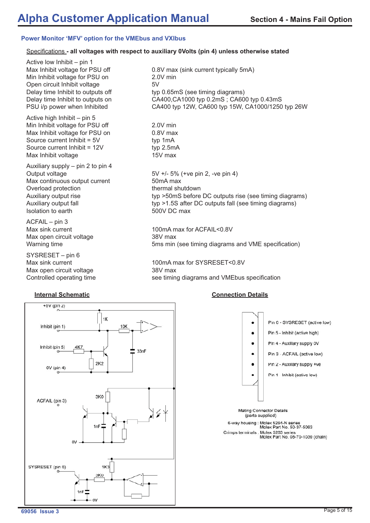### **Power Monitor 'MFV' option for the VMEbus and VXIbus**

## Specifications - all voltages with respect to auxiliary 0Volts (pin 4) unless otherwise stated

Active low Inhibit – pin 1 Min Inhibit voltage for PSU on 2.0V min Open circuit Inhibit voltage 5V

Active high Inhibit – pin 5 Min Inhibit voltage for PSU off 2.0V min Max Inhibit voltage for PSU on 0.8V max Source current Inhibit = 5V typ 1mA Source current Inhibit = 12V typ 2.5mA Max Inhibit voltage 15V max

Auxiliary supply – pin 2 to pin 4 Max continuous output current 50mA max Overload protection thermal shutdown Isolation to earth 500V DC max

ACFAIL – pin 3 Max open circuit voltage **38V** max

SYSRESET – pin 6 Max open circuit voltage **38V** max



Max Inhibit voltage for PSU off 0.8V max (sink current typically 5mA) Delay time Inhibit to outputs off typ 0.65mS (see timing diagrams) Delay time Inhibit to outputs on CA400,CA1000 typ 0.2mS ; CA600 typ 0.43mS PSU i/p power when Inhibited CA400 typ 12W, CA600 typ 15W, CA1000/1250 typ 26W

Output voltage 5V +/- 5% (+ve pin 2, -ve pin 4) Auxiliary output rise typ >50mS before DC outputs rise (see timing diagrams) Auxiliary output fall typ >1.5S after DC outputs fall (see timing diagrams)

Max sink current 100mA max for ACFAIL<0.8V Warning time **5ms min (see timing diagrams and VME specification)** 

Max sink current 100mA max for SYSRESET<0.8V Controlled operating time see timing diagrams and VMEbus specification

### **Internal Schematic Connection Details**

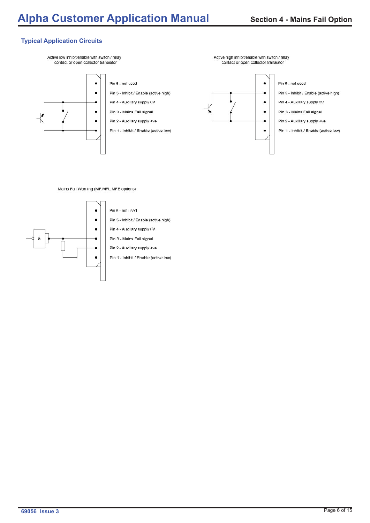# **Typical Application Circuits**

Active low inhibit/enable with switch / relay contact or open collector transistor



Pin 6 - not used

- Pin 5 Inhibit / Enable (active high)
- Pin 4 Auxillary supply 0V
- Pin 3 Mains Fail signal Pin 2 - Auxillary supply +ve
- Pin 1 Inhibit / Enable (active low)



Active high inhibit/enable with switch / relay

contact or open collector transistor

- Pin 6 not used
- Pin 5 Inhibit / Enable (active high)
- Pin 4 Auxillary supply 0V
- Pin 3 Mains Fail signal
- Pin 2 Auxillary supply +ve
- Pin 1 Inhibit / Enable (active low)

Mains Fail Warning (MF, MFL, MFE options)

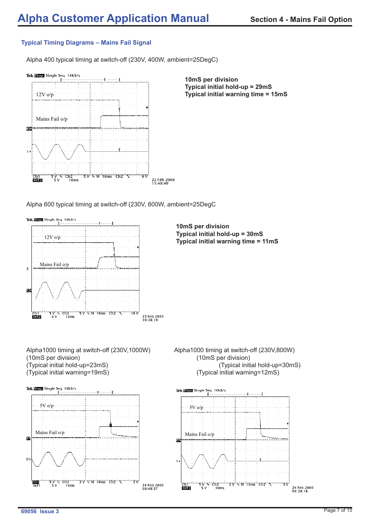# **Typical Timing Diagrams – Mains Fail Signal**

Alpha 400 typical timing at switch-off (230V, 400W, ambient=25DegC)



**10mS per division Typical initial hold-up = 29mS Typical initial warning time = 15mS**

Alpha 600 typical timing at switch-off (230V, 600W, ambient=25DegC

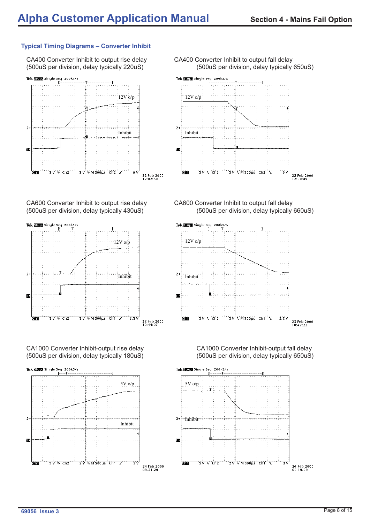# **Typical Timing Diagrams – Converter Inhibit**



CA600 Converter Inhibit to output rise delay CA600 Converter Inhibit to output fall delay



CA1000 Converter Inhibit-output rise delay CA1000 Converter Inhibit-output fall delay (500uS per division, delay typically 180uS) (500uS per division, delay typically 650uS)



CA400 Converter Inhibit to output rise delay CA400 Converter Inhibit to output fall delay (500uS per division, delay typically 220uS) (500uS per division, delay typically 650uS)



(500uS per division, delay typically 430uS) (500uS per division, delay typically 660uS)



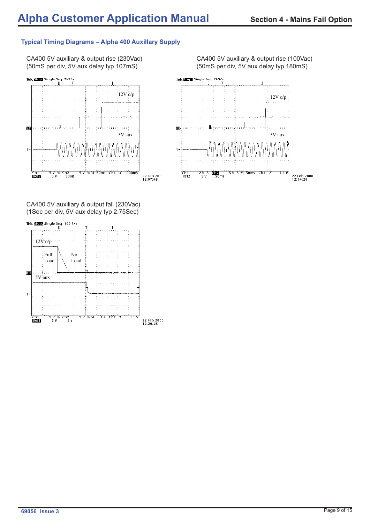# **Typical Timing Diagrams – Alpha 400 Auxillary Supply**

(50mS per div, 5V aux delay typ 107mS) (50mS per div, 5V aux delay typ 180mS)



CA400 5V auxiliary & output fall (230Vac) (1Sec per div, 5V aux delay typ 2.75Sec)



CA400 5V auxiliary & output rise (230Vac) CA400 5V auxiliary & output rise (100Vac)

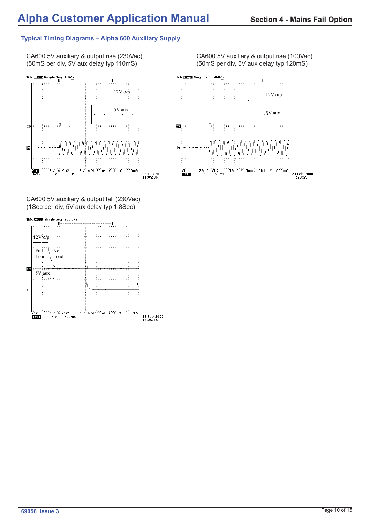# **Typical Timing Diagrams – Alpha 600 Auxillary Supply**



CA600 5V auxiliary & output fall (230Vac) (1Sec per div, 5V aux delay typ 1.8Sec)



CA600 5V auxiliary & output rise (230Vac) CA600 5V auxiliary & output rise (100Vac)<br>(50mS per div, 5V aux delay typ 110mS) (50mS per div, 5V aux delay typ 120mS) (50mS per div, 5V aux delay typ 120mS)

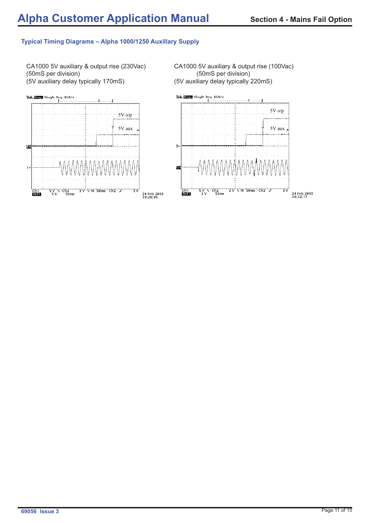## **Typical Timing Diagrams – Alpha 1000/1250 Auxillary Supply**

CA1000 5V auxiliary & output rise (230Vac) CA1000 5V auxiliary & output rise (100Vac) (50mS per division) (50mS per division) (5V auxiliary delay typically 170mS) (5V auxiliary delay typically 220mS)

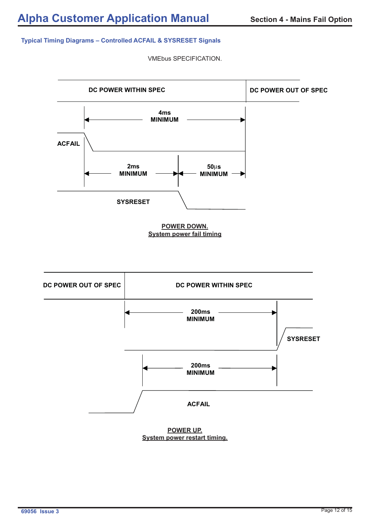### **Typical Timing Diagrams – Controlled ACFAIL & SYSRESET Signals**

VMEbus SPECIFICATION.



**POWER UP. System power restart timing.**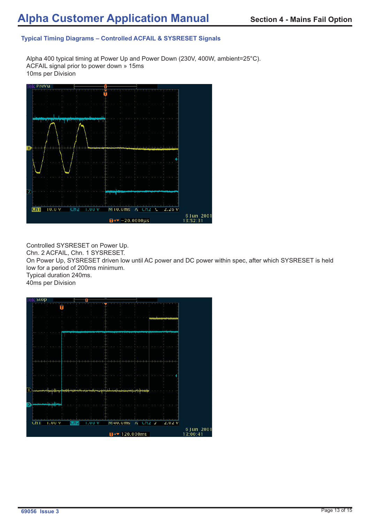# **Typical Timing Diagrams – Controlled ACFAIL & SYSRESET Signals**

Alpha 400 typical timing at Power Up and Power Down (230V, 400W, ambient=25°C). ACFAIL signal prior to power down » 15ms 10ms per Division



Controlled SYSRESET on Power Up.

Chn. 2 ACFAIL, Chn. 1 SYSRESET.

On Power Up, SYSRESET driven low until AC power and DC power within spec, after which SYSRESET is held low for a period of 200ms minimum.

Typical duration 240ms.

40ms per Division

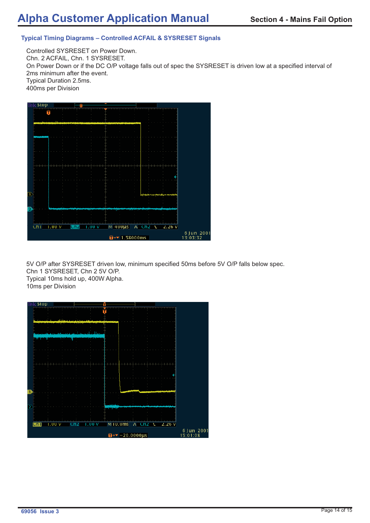# **Typical Timing Diagrams – Controlled ACFAIL & SYSRESET Signals**

Controlled SYSRESET on Power Down. Chn. 2 ACFAIL, Chn. 1 SYSRESET. On Power Down or if the DC O/P voltage falls out of spec the SYSRESET is driven low at a specified interval of 2ms minimum after the event. Typical Duration 2.5ms. 400ms per Division



5V O/P after SYSRESET driven low, minimum specified 50ms before 5V O/P falls below spec. Chn 1 SYSRESET, Chn 2 5V O/P. Typical 10ms hold up, 400W Alpha. 10ms per Division